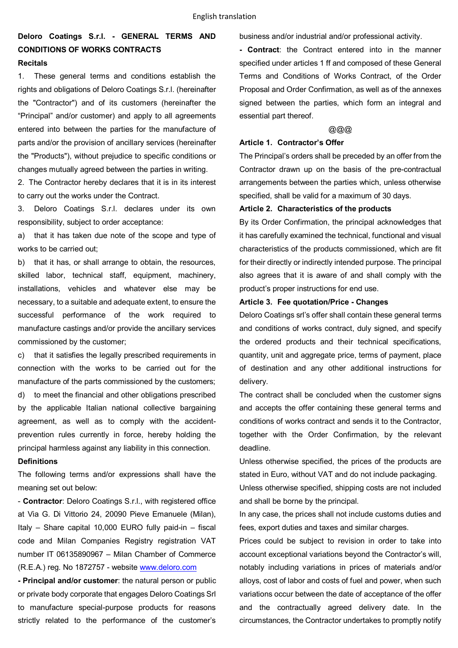# **Deloro Coatings S.r.l. - GENERAL TERMS AND CONDITIONS OF WORKS CONTRACTS Recitals**

1. These general terms and conditions establish the rights and obligations of Deloro Coatings S.r.l. (hereinafter the "Contractor") and of its customers (hereinafter the "Principal" and/or customer) and apply to all agreements entered into between the parties for the manufacture of parts and/or the provision of ancillary services (hereinafter the "Products"), without prejudice to specific conditions or changes mutually agreed between the parties in writing.

2. The Contractor hereby declares that it is in its interest to carry out the works under the Contract.

3. Deloro Coatings S.r.l. declares under its own responsibility, subject to order acceptance:

a) that it has taken due note of the scope and type of works to be carried out;

b) that it has, or shall arrange to obtain, the resources, skilled labor, technical staff, equipment, machinery, installations, vehicles and whatever else may be necessary, to a suitable and adequate extent, to ensure the successful performance of the work required to manufacture castings and/or provide the ancillary services commissioned by the customer;

c) that it satisfies the legally prescribed requirements in connection with the works to be carried out for the manufacture of the parts commissioned by the customers; d) to meet the financial and other obligations prescribed by the applicable Italian national collective bargaining agreement, as well as to comply with the accidentprevention rules currently in force, hereby holding the principal harmless against any liability in this connection.

### **Definitions**

The following terms and/or expressions shall have the meaning set out below:

- **Contractor**: Deloro Coatings S.r.l., with registered office at Via G. Di Vittorio 24, 20090 Pieve Emanuele (Milan), Italy – Share capital 10,000 EURO fully paid-in – fiscal code and Milan Companies Registry registration VAT number IT 06135890967 – Milan Chamber of Commerce (R.E.A.) reg. No 1872757 - website www.deloro.com

**- Principal and/or customer**: the natural person or public or private body corporate that engages Deloro Coatings Srl to manufacture special-purpose products for reasons strictly related to the performance of the customer's business and/or industrial and/or professional activity.

**- Contract**: the Contract entered into in the manner specified under articles 1 ff and composed of these General Terms and Conditions of Works Contract, of the Order Proposal and Order Confirmation, as well as of the annexes signed between the parties, which form an integral and essential part thereof.

# @@@

## **Article 1. Contractor's Offer**

The Principal's orders shall be preceded by an offer from the Contractor drawn up on the basis of the pre-contractual arrangements between the parties which, unless otherwise specified, shall be valid for a maximum of 30 days.

### **Article 2. Characteristics of the products**

By its Order Confirmation, the principal acknowledges that it has carefully examined the technical, functional and visual characteristics of the products commissioned, which are fit for their directly or indirectly intended purpose. The principal also agrees that it is aware of and shall comply with the product's proper instructions for end use.

# **Article 3. Fee quotation/Price - Changes**

Deloro Coatings srl's offer shall contain these general terms and conditions of works contract, duly signed, and specify the ordered products and their technical specifications, quantity, unit and aggregate price, terms of payment, place of destination and any other additional instructions for delivery.

The contract shall be concluded when the customer signs and accepts the offer containing these general terms and conditions of works contract and sends it to the Contractor, together with the Order Confirmation, by the relevant deadline.

Unless otherwise specified, the prices of the products are stated in Euro, without VAT and do not include packaging. Unless otherwise specified, shipping costs are not included and shall be borne by the principal.

In any case, the prices shall not include customs duties and fees, export duties and taxes and similar charges.

Prices could be subject to revision in order to take into account exceptional variations beyond the Contractor's will, notably including variations in prices of materials and/or alloys, cost of labor and costs of fuel and power, when such variations occur between the date of acceptance of the offer and the contractually agreed delivery date. In the circumstances, the Contractor undertakes to promptly notify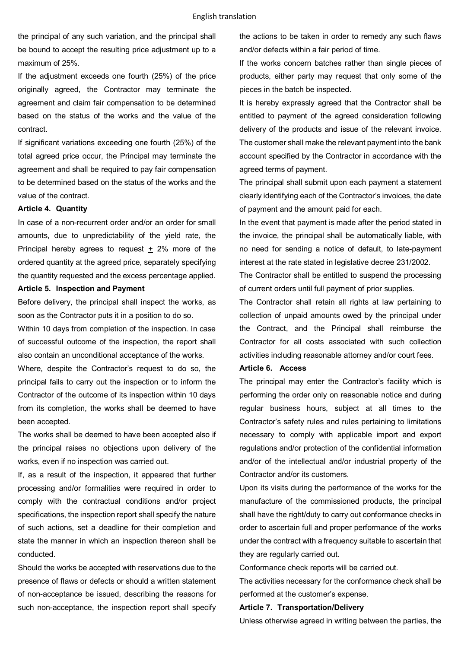the principal of any such variation, and the principal shall be bound to accept the resulting price adjustment up to a maximum of 25%.

If the adjustment exceeds one fourth (25%) of the price originally agreed, the Contractor may terminate the agreement and claim fair compensation to be determined based on the status of the works and the value of the contract.

If significant variations exceeding one fourth (25%) of the total agreed price occur, the Principal may terminate the agreement and shall be required to pay fair compensation to be determined based on the status of the works and the value of the contract.

#### **Article 4. Quantity**

In case of a non-recurrent order and/or an order for small amounts, due to unpredictability of the yield rate, the Principal hereby agrees to request + 2% more of the ordered quantity at the agreed price, separately specifying the quantity requested and the excess percentage applied.

#### **Article 5. Inspection and Payment**

Before delivery, the principal shall inspect the works, as soon as the Contractor puts it in a position to do so.

Within 10 days from completion of the inspection. In case of successful outcome of the inspection, the report shall also contain an unconditional acceptance of the works.

Where, despite the Contractor's request to do so, the principal fails to carry out the inspection or to inform the Contractor of the outcome of its inspection within 10 days from its completion, the works shall be deemed to have been accepted.

The works shall be deemed to have been accepted also if the principal raises no objections upon delivery of the works, even if no inspection was carried out.

If, as a result of the inspection, it appeared that further processing and/or formalities were required in order to comply with the contractual conditions and/or project specifications, the inspection report shall specify the nature of such actions, set a deadline for their completion and state the manner in which an inspection thereon shall be conducted.

Should the works be accepted with reservations due to the presence of flaws or defects or should a written statement of non-acceptance be issued, describing the reasons for such non-acceptance, the inspection report shall specify the actions to be taken in order to remedy any such flaws and/or defects within a fair period of time.

If the works concern batches rather than single pieces of products, either party may request that only some of the pieces in the batch be inspected.

It is hereby expressly agreed that the Contractor shall be entitled to payment of the agreed consideration following delivery of the products and issue of the relevant invoice. The customer shall make the relevant payment into the bank account specified by the Contractor in accordance with the agreed terms of payment.

The principal shall submit upon each payment a statement clearly identifying each of the Contractor's invoices, the date of payment and the amount paid for each.

In the event that payment is made after the period stated in the invoice, the principal shall be automatically liable, with no need for sending a notice of default, to late-payment interest at the rate stated in legislative decree 231/2002.

The Contractor shall be entitled to suspend the processing of current orders until full payment of prior supplies.

The Contractor shall retain all rights at law pertaining to collection of unpaid amounts owed by the principal under the Contract, and the Principal shall reimburse the Contractor for all costs associated with such collection activities including reasonable attorney and/or court fees.

#### **Article 6. Access**

The principal may enter the Contractor's facility which is performing the order only on reasonable notice and during regular business hours, subject at all times to the Contractor's safety rules and rules pertaining to limitations necessary to comply with applicable import and export regulations and/or protection of the confidential information and/or of the intellectual and/or industrial property of the Contractor and/or its customers.

Upon its visits during the performance of the works for the manufacture of the commissioned products, the principal shall have the right/duty to carry out conformance checks in order to ascertain full and proper performance of the works under the contract with a frequency suitable to ascertain that they are regularly carried out.

Conformance check reports will be carried out.

The activities necessary for the conformance check shall be performed at the customer's expense.

#### **Article 7. Transportation/Delivery**

Unless otherwise agreed in writing between the parties, the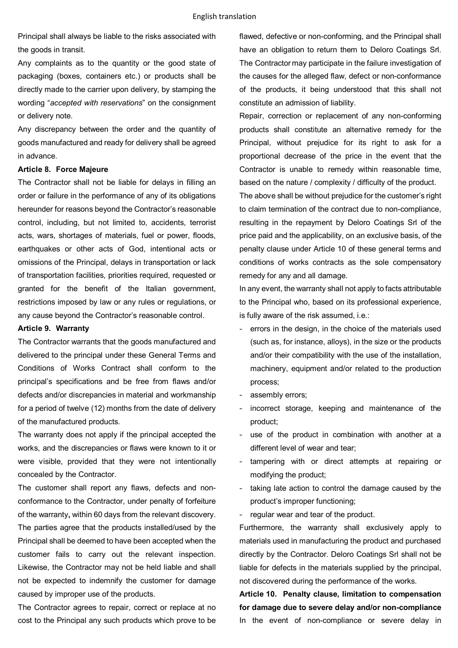Principal shall always be liable to the risks associated with the goods in transit.

Any complaints as to the quantity or the good state of packaging (boxes, containers etc.) or products shall be directly made to the carrier upon delivery, by stamping the wording "*accepted with reservations*" on the consignment or delivery note.

Any discrepancy between the order and the quantity of goods manufactured and ready for delivery shall be agreed in advance.

#### **Article 8. Force Majeure**

The Contractor shall not be liable for delays in filling an order or failure in the performance of any of its obligations hereunder for reasons beyond the Contractor's reasonable control, including, but not limited to, accidents, terrorist acts, wars, shortages of materials, fuel or power, floods, earthquakes or other acts of God, intentional acts or omissions of the Principal, delays in transportation or lack of transportation facilities, priorities required, requested or granted for the benefit of the Italian government, restrictions imposed by law or any rules or regulations, or any cause beyond the Contractor's reasonable control.

#### **Article 9. Warranty**

The Contractor warrants that the goods manufactured and delivered to the principal under these General Terms and Conditions of Works Contract shall conform to the principal's specifications and be free from flaws and/or defects and/or discrepancies in material and workmanship for a period of twelve (12) months from the date of delivery of the manufactured products.

The warranty does not apply if the principal accepted the works, and the discrepancies or flaws were known to it or were visible, provided that they were not intentionally concealed by the Contractor.

The customer shall report any flaws, defects and nonconformance to the Contractor, under penalty of forfeiture of the warranty**,** within 60 days from the relevant discovery. The parties agree that the products installed/used by the Principal shall be deemed to have been accepted when the customer fails to carry out the relevant inspection. Likewise, the Contractor may not be held liable and shall not be expected to indemnify the customer for damage caused by improper use of the products.

The Contractor agrees to repair, correct or replace at no cost to the Principal any such products which prove to be flawed, defective or non-conforming, and the Principal shall have an obligation to return them to Deloro Coatings Srl. The Contractor may participate in the failure investigation of the causes for the alleged flaw, defect or non-conformance of the products, it being understood that this shall not constitute an admission of liability.

Repair, correction or replacement of any non-conforming products shall constitute an alternative remedy for the Principal, without prejudice for its right to ask for a proportional decrease of the price in the event that the Contractor is unable to remedy within reasonable time, based on the nature / complexity / difficulty of the product.

The above shall be without prejudice for the customer's right to claim termination of the contract due to non-compliance, resulting in the repayment by Deloro Coatings Srl of the price paid and the applicability, on an exclusive basis, of the penalty clause under Article 10 of these general terms and conditions of works contracts as the sole compensatory remedy for any and all damage.

In any event, the warranty shall not apply to facts attributable to the Principal who, based on its professional experience, is fully aware of the risk assumed, i.e.:

- errors in the design, in the choice of the materials used (such as, for instance, alloys), in the size or the products and/or their compatibility with the use of the installation, machinery, equipment and/or related to the production process;
- assembly errors;
- incorrect storage, keeping and maintenance of the product;
- use of the product in combination with another at a different level of wear and tear;
- tampering with or direct attempts at repairing or modifying the product;
- taking late action to control the damage caused by the product's improper functioning;
- regular wear and tear of the product.

Furthermore, the warranty shall exclusively apply to materials used in manufacturing the product and purchased directly by the Contractor. Deloro Coatings Srl shall not be liable for defects in the materials supplied by the principal, not discovered during the performance of the works.

**Article 10. Penalty clause, limitation to compensation for damage due to severe delay and/or non-compliance**  In the event of non-compliance or severe delay in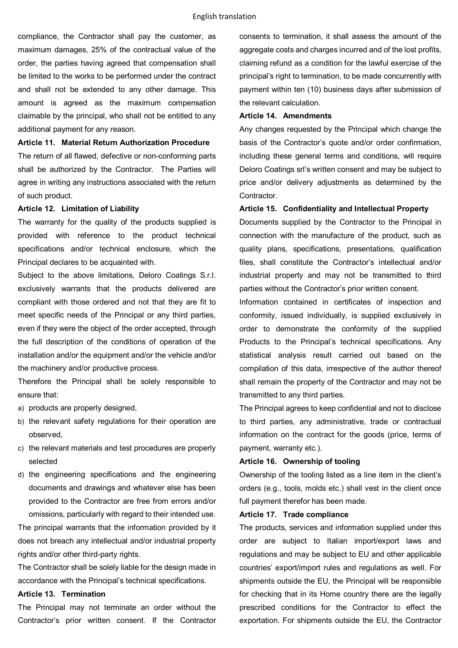compliance, the Contractor shall pay the customer, as maximum damages, 25% of the contractual value of the order, the parties having agreed that compensation shall be limited to the works to be performed under the contract and shall not be extended to any other damage. This amount is agreed as the maximum compensation claimable by the principal, who shall not be entitled to any additional payment for any reason.

#### **Article 11. Material Return Authorization Procedure**

The return of all flawed, defective or non-conforming parts shall be authorized by the Contractor. The Parties will agree in writing any instructions associated with the return of such product.

#### **Article 12. Limitation of Liability**

The warranty for the quality of the products supplied is provided with reference to the product technical specifications and/or technical enclosure, which the Principal declares to be acquainted with.

Subject to the above limitations, Deloro Coatings S.r.l. exclusively warrants that the products delivered are compliant with those ordered and not that they are fit to meet specific needs of the Principal or any third parties, even if they were the object of the order accepted, through the full description of the conditions of operation of the installation and/or the equipment and/or the vehicle and/or the machinery and/or productive process.

Therefore the Principal shall be solely responsible to ensure that:

- a) products are properly designed,
- b) the relevant safety regulations for their operation are observed,
- c) the relevant materials and test procedures are properly selected
- d) the engineering specifications and the engineering documents and drawings and whatever else has been provided to the Contractor are free from errors and/or omissions, particularly with regard to their intended use.

The principal warrants that the information provided by it does not breach any intellectual and/or industrial property rights and/or other third-party rights.

The Contractor shall be solely liable for the design made in accordance with the Principal's technical specifications.

## **Article 13. Termination**

The Principal may not terminate an order without the Contractor's prior written consent. If the Contractor

consents to termination, it shall assess the amount of the aggregate costs and charges incurred and of the lost profits, claiming refund as a condition for the lawful exercise of the principal's right to termination, to be made concurrently with payment within ten (10) business days after submission of the relevant calculation.

# **Article 14. Amendments**

Any changes requested by the Principal which change the basis of the Contractor's quote and/or order confirmation, including these general terms and conditions, will require Deloro Coatings srl's written consent and may be subject to price and/or delivery adjustments as determined by the Contractor.

## **Article 15. Confidentiality and Intellectual Property**

Documents supplied by the Contractor to the Principal in connection with the manufacture of the product, such as quality plans, specifications, presentations, qualification files, shall constitute the Contractor's intellectual and/or industrial property and may not be transmitted to third parties without the Contractor's prior written consent.

Information contained in certificates of inspection and conformity, issued individually, is supplied exclusively in order to demonstrate the conformity of the supplied Products to the Principal's technical specifications. Any statistical analysis result carried out based on the compilation of this data, irrespective of the author thereof shall remain the property of the Contractor and may not be transmitted to any third parties.

The Principal agrees to keep confidential and not to disclose to third parties, any administrative, trade or contractual information on the contract for the goods (price, terms of payment, warranty etc.).

# **Article 16. Ownership of tooling**

Ownership of the tooling listed as a line item in the client's orders (e.g., tools, molds etc.) shall vest in the client once full payment therefor has been made.

## **Article 17. Trade compliance**

The products, services and information supplied under this order are subject to Italian import/export laws and regulations and may be subject to EU and other applicable countries' export/import rules and regulations as well. For shipments outside the EU, the Principal will be responsible for checking that in its Home country there are the legally prescribed conditions for the Contractor to effect the exportation. For shipments outside the EU, the Contractor